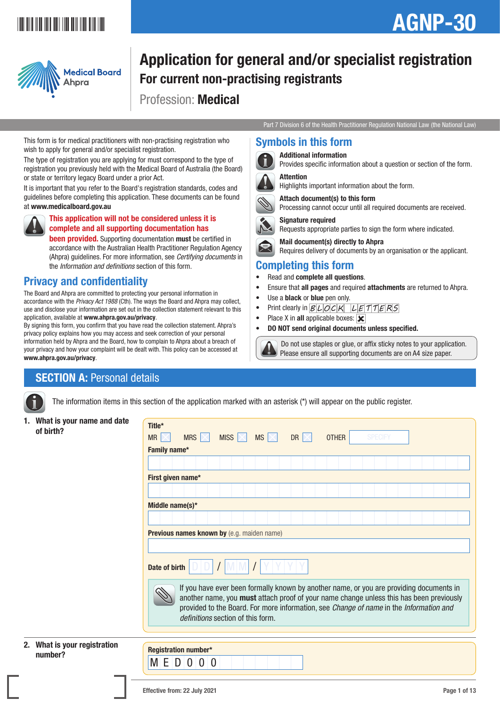# \*AGNP-301\*

# AGNP-30



# Application for general and/or specialist registration For current non-practising registrants

Profession: Medical

Part 7 Division 6 of the Health Practitioner Regulation National Law (the National Law)

### Symbols in this form



Additional information

Attach document(s) to this form

Provides specific information about a question or section of the form.



Highlights important information about the form.



Processing cannot occur until all required documents are received.



Signature required Requests appropriate parties to sign the form where indicated.



 Mail document(s) directly to Ahpra Requires delivery of documents by an organisation or the applicant.

### Completing this form

- Read and complete all questions.
- Ensure that all pages and required attachments are returned to Ahpra.
- Use a black or blue pen only.
- Print clearly in  $B L OCK L E T T E R S$
- Place X in all applicable boxes:  $\mathbf{\times}$
- DO NOT send original documents unless specified.

 Do not use staples or glue, or affix sticky notes to your application. Please ensure all supporting documents are on A4 size paper.

#### This form is for medical practitioners with non-practising registration who wish to apply for general and/or specialist registration. The type of registration you are applying for must correspond to the type of

registration you previously held with the Medical Board of Australia (the Board) or state or territory legacy Board under a prior Act.

It is important that you refer to the Board's registration standards, codes and guidelines before completing this application. These documents can be found at www.medicalboard.gov.au



### This application will not be considered unless it is complete and all supporting documentation has

**been provided.** Supporting documentation must be certified in accordance with the Australian Health Practitioner Regulation Agency (Ahpra) guidelines. For more information, see *Certifying documents* in the *Information and definitions* section of this form.

# Privacy and confidentiality

The Board and Ahpra are committed to protecting your personal information in accordance with the *Privacy Act 1988* (Cth). The ways the Board and Ahpra may collect, use and disclose your information are set out in the collection statement relevant to this application, available at www.ahpra.gov.au/privacy.

By signing this form, you confirm that you have read the collection statement. Ahpra's privacy policy explains how you may access and seek correction of your personal information held by Ahpra and the Board, how to complain to Ahpra about a breach of your privacy and how your complaint will be dealt with. This policy can be accessed at www.ahpra.gov.au/privacy.

# **SECTION A: Personal details**

The information items in this section of the application marked with an asterisk (\*) will appear on the public register.

1. What is your name and date of birth?

2. What is your registration

| What is your name and date           | Title*                                                                                                                                                                                                                                                                                                            |                             |                 |             |             |              |                |  |  |  |  |  |  |
|--------------------------------------|-------------------------------------------------------------------------------------------------------------------------------------------------------------------------------------------------------------------------------------------------------------------------------------------------------------------|-----------------------------|-----------------|-------------|-------------|--------------|----------------|--|--|--|--|--|--|
| of birth?                            | MR                                                                                                                                                                                                                                                                                                                | MRS $\times$                | MISS $ \times $ | $MS \times$ | DR $\times$ | <b>OTHER</b> | <b>SPECIFY</b> |  |  |  |  |  |  |
|                                      | Family name*                                                                                                                                                                                                                                                                                                      |                             |                 |             |             |              |                |  |  |  |  |  |  |
|                                      |                                                                                                                                                                                                                                                                                                                   |                             |                 |             |             |              |                |  |  |  |  |  |  |
|                                      | First given name*                                                                                                                                                                                                                                                                                                 |                             |                 |             |             |              |                |  |  |  |  |  |  |
|                                      |                                                                                                                                                                                                                                                                                                                   |                             |                 |             |             |              |                |  |  |  |  |  |  |
|                                      | Middle name(s)*                                                                                                                                                                                                                                                                                                   |                             |                 |             |             |              |                |  |  |  |  |  |  |
|                                      |                                                                                                                                                                                                                                                                                                                   |                             |                 |             |             |              |                |  |  |  |  |  |  |
|                                      | Previous names known by (e.g. maiden name)                                                                                                                                                                                                                                                                        |                             |                 |             |             |              |                |  |  |  |  |  |  |
|                                      |                                                                                                                                                                                                                                                                                                                   |                             |                 |             |             |              |                |  |  |  |  |  |  |
|                                      | Date of birth                                                                                                                                                                                                                                                                                                     |                             |                 |             |             |              |                |  |  |  |  |  |  |
|                                      | If you have ever been formally known by another name, or you are providing documents in<br>another name, you must attach proof of your name change unless this has been previously<br>provided to the Board. For more information, see Change of name in the Information and<br>definitions section of this form. |                             |                 |             |             |              |                |  |  |  |  |  |  |
|                                      |                                                                                                                                                                                                                                                                                                                   |                             |                 |             |             |              |                |  |  |  |  |  |  |
| What is your registration<br>number? | .                                                                                                                                                                                                                                                                                                                 | <b>Registration number*</b> |                 |             |             |              |                |  |  |  |  |  |  |

#### Effective from: 22 July 2021 **Page 1 of 13**

M E D 0 0 0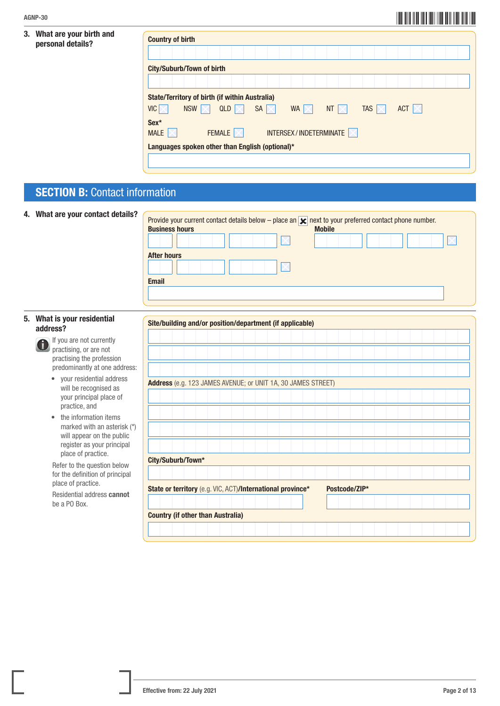### 3. What are your birth and personal details?

| <b>Country of birth</b>                         |                                                       |                   |    |                          |                 |                  |  |                  |  |  |
|-------------------------------------------------|-------------------------------------------------------|-------------------|----|--------------------------|-----------------|------------------|--|------------------|--|--|
|                                                 |                                                       |                   |    |                          |                 |                  |  |                  |  |  |
|                                                 | <b>City/Suburb/Town of birth</b>                      |                   |    |                          |                 |                  |  |                  |  |  |
|                                                 |                                                       |                   |    |                          |                 |                  |  |                  |  |  |
|                                                 | <b>State/Territory of birth (if within Australia)</b> |                   |    |                          |                 |                  |  |                  |  |  |
| <b>VIC</b>                                      | <b>NSW</b>                                            | QLD               | SA | WA  <br>IX               | NT $\mathbb{X}$ | <b>TAS</b><br>ΙX |  | ACT $\mathbb{K}$ |  |  |
| Sex*                                            |                                                       |                   |    |                          |                 |                  |  |                  |  |  |
| <b>MALE</b>                                     |                                                       | FEMALE $ \times $ |    | INTERSEX / INDETERMINATE |                 |                  |  |                  |  |  |
| Languages spoken other than English (optional)* |                                                       |                   |    |                          |                 |                  |  |                  |  |  |

# **SECTION B: Contact information**

| 4. What are your contact details?                                                                                | Provide your current contact details below – place an $\vert \mathbf{x} \vert$ next to your preferred contact phone number.<br><b>Business hours</b><br><b>Mobile</b><br><b>After hours</b><br><b>Email</b> |
|------------------------------------------------------------------------------------------------------------------|-------------------------------------------------------------------------------------------------------------------------------------------------------------------------------------------------------------|
|                                                                                                                  |                                                                                                                                                                                                             |
| 5. What is your residential<br>address?                                                                          | Site/building and/or position/department (if applicable)                                                                                                                                                    |
| If you are not currently<br>practising, or are not<br>practising the profession<br>predominantly at one address: |                                                                                                                                                                                                             |
| • your residential address<br>will be recognised as<br>your principal place of<br>practice, and                  | Address (e.g. 123 JAMES AVENUE; or UNIT 1A, 30 JAMES STREET)                                                                                                                                                |
| the information items<br>marked with an asterisk (*)<br>will appear on the public<br>register as your principal  |                                                                                                                                                                                                             |
| place of practice.<br>Refer to the question below<br>for the definition of principal                             | City/Suburb/Town*                                                                                                                                                                                           |
| place of practice.<br>Residential address cannot                                                                 | State or territory (e.g. VIC, ACT)/International province*<br>Postcode/ZIP*                                                                                                                                 |
| be a PO Box.                                                                                                     | <b>Country (if other than Australia)</b>                                                                                                                                                                    |
|                                                                                                                  |                                                                                                                                                                                                             |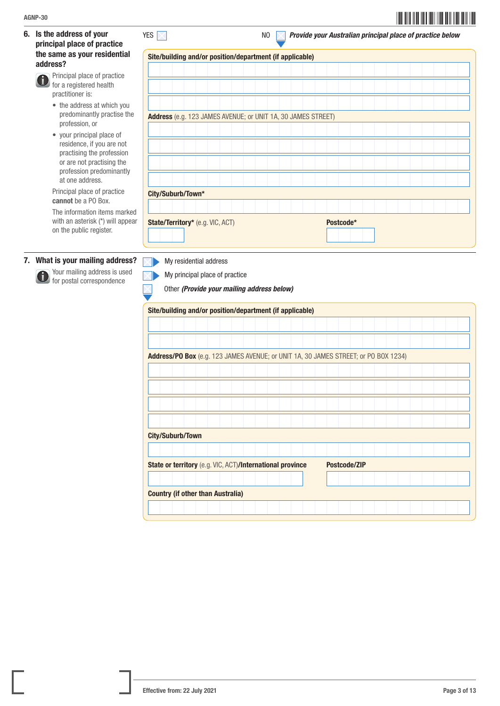6. Is the address of your principal place of practice the same as your residential address?

 Principal place of practice G for a registered health practitioner is:

- the address at which you predominantly practise the profession, or
- your principal place of residence, if you are not practising the profession or are not practising the profession predominantly at one address.

Principal place of practice cannot be a PO Box.

 The information items marked with an asterisk (\*) will appear on the public register.

### 7. What is your mailing address?

 Your mailing address is used **for postal correspondence** 

|                                                              | Site/building and/or position/department (if applicable) |  |  |  |  |  |  |  |  |  |  |  |
|--------------------------------------------------------------|----------------------------------------------------------|--|--|--|--|--|--|--|--|--|--|--|
|                                                              |                                                          |  |  |  |  |  |  |  |  |  |  |  |
|                                                              |                                                          |  |  |  |  |  |  |  |  |  |  |  |
|                                                              |                                                          |  |  |  |  |  |  |  |  |  |  |  |
|                                                              |                                                          |  |  |  |  |  |  |  |  |  |  |  |
|                                                              |                                                          |  |  |  |  |  |  |  |  |  |  |  |
| Address (e.g. 123 JAMES AVENUE; or UNIT 1A, 30 JAMES STREET) |                                                          |  |  |  |  |  |  |  |  |  |  |  |
|                                                              |                                                          |  |  |  |  |  |  |  |  |  |  |  |
|                                                              |                                                          |  |  |  |  |  |  |  |  |  |  |  |
|                                                              |                                                          |  |  |  |  |  |  |  |  |  |  |  |
|                                                              |                                                          |  |  |  |  |  |  |  |  |  |  |  |
|                                                              |                                                          |  |  |  |  |  |  |  |  |  |  |  |
|                                                              |                                                          |  |  |  |  |  |  |  |  |  |  |  |
|                                                              |                                                          |  |  |  |  |  |  |  |  |  |  |  |
|                                                              |                                                          |  |  |  |  |  |  |  |  |  |  |  |
| City/Suburb/Town*                                            |                                                          |  |  |  |  |  |  |  |  |  |  |  |
|                                                              |                                                          |  |  |  |  |  |  |  |  |  |  |  |
| State/Territory* (e.g. VIC, ACT)<br>Postcode*                |                                                          |  |  |  |  |  |  |  |  |  |  |  |
|                                                              |                                                          |  |  |  |  |  |  |  |  |  |  |  |
|                                                              |                                                          |  |  |  |  |  |  |  |  |  |  |  |

YES **NO 2018 2018 2018 12 NO 2018 2018 2019 2018 2019 2018 2019 2018 2019 2018 2019 2019 2018 2019 2019 2018 201** 

My residential address ZŊ



My principal place of practice

Other *(Provide your mailing address below)*

| Site/building and/or position/department (if applicable)                         |                                                                                     |  |  |  |  |  |  |  |  |  |  |  |  |  |  |  |  |
|----------------------------------------------------------------------------------|-------------------------------------------------------------------------------------|--|--|--|--|--|--|--|--|--|--|--|--|--|--|--|--|
|                                                                                  |                                                                                     |  |  |  |  |  |  |  |  |  |  |  |  |  |  |  |  |
|                                                                                  |                                                                                     |  |  |  |  |  |  |  |  |  |  |  |  |  |  |  |  |
|                                                                                  | Address/PO Box (e.g. 123 JAMES AVENUE; or UNIT 1A, 30 JAMES STREET; or PO BOX 1234) |  |  |  |  |  |  |  |  |  |  |  |  |  |  |  |  |
|                                                                                  |                                                                                     |  |  |  |  |  |  |  |  |  |  |  |  |  |  |  |  |
|                                                                                  |                                                                                     |  |  |  |  |  |  |  |  |  |  |  |  |  |  |  |  |
|                                                                                  |                                                                                     |  |  |  |  |  |  |  |  |  |  |  |  |  |  |  |  |
|                                                                                  |                                                                                     |  |  |  |  |  |  |  |  |  |  |  |  |  |  |  |  |
|                                                                                  | <b>City/Suburb/Town</b>                                                             |  |  |  |  |  |  |  |  |  |  |  |  |  |  |  |  |
|                                                                                  |                                                                                     |  |  |  |  |  |  |  |  |  |  |  |  |  |  |  |  |
| State or territory (e.g. VIC, ACT)/International province<br><b>Postcode/ZIP</b> |                                                                                     |  |  |  |  |  |  |  |  |  |  |  |  |  |  |  |  |
|                                                                                  |                                                                                     |  |  |  |  |  |  |  |  |  |  |  |  |  |  |  |  |
| <b>Country (if other than Australia)</b>                                         |                                                                                     |  |  |  |  |  |  |  |  |  |  |  |  |  |  |  |  |
|                                                                                  |                                                                                     |  |  |  |  |  |  |  |  |  |  |  |  |  |  |  |  |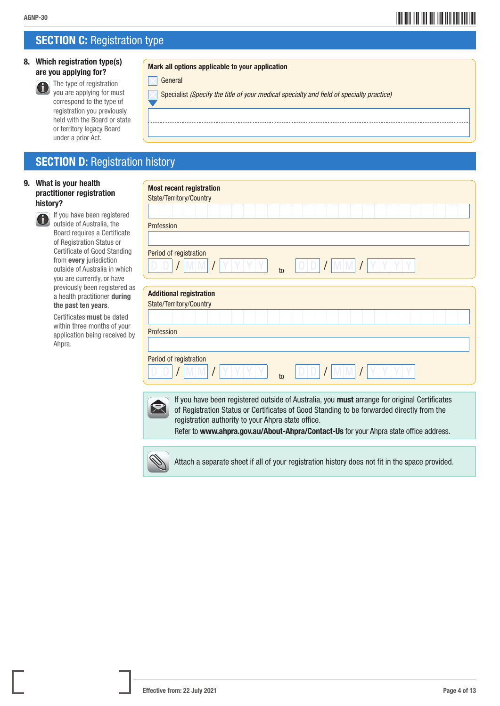# \*AGNP-304\* AGNP-30

# **SECTION C: Registration type**

### 8. Which registration type(s) are you applying for?

under a prior Act.

 The type of registration you are applying for must correspond to the type of registration you previously held with the Board or state or territory legacy Board

#### Mark all options applicable to your application

| General |
|---------|
|---------|

Specialist *(Specify the title of your medical specialty and field of specialty practice)*

## **SECTION D: Registration history**

#### 9. What is your health practitioner registration history?

**If you have been registered** outside of Australia, the Board requires a Certificate of Registration Status or Certificate of Good Standing from every jurisdiction outside of Australia in which you are currently, or have previously been registered as a health practitioner during the past ten years.

Certificates must be dated within three months of your application being received by Ahpra.

| <b>Most recent registration</b>                                                                                                                                                                                                                                                                                                          |  |  |  |  |  |
|------------------------------------------------------------------------------------------------------------------------------------------------------------------------------------------------------------------------------------------------------------------------------------------------------------------------------------------|--|--|--|--|--|
| State/Territory/Country                                                                                                                                                                                                                                                                                                                  |  |  |  |  |  |
|                                                                                                                                                                                                                                                                                                                                          |  |  |  |  |  |
| Profession                                                                                                                                                                                                                                                                                                                               |  |  |  |  |  |
|                                                                                                                                                                                                                                                                                                                                          |  |  |  |  |  |
| Period of registration                                                                                                                                                                                                                                                                                                                   |  |  |  |  |  |
| $t_0$                                                                                                                                                                                                                                                                                                                                    |  |  |  |  |  |
| <b>Additional registration</b>                                                                                                                                                                                                                                                                                                           |  |  |  |  |  |
| State/Territory/Country                                                                                                                                                                                                                                                                                                                  |  |  |  |  |  |
|                                                                                                                                                                                                                                                                                                                                          |  |  |  |  |  |
| Profession                                                                                                                                                                                                                                                                                                                               |  |  |  |  |  |
|                                                                                                                                                                                                                                                                                                                                          |  |  |  |  |  |
| Period of registration                                                                                                                                                                                                                                                                                                                   |  |  |  |  |  |
| $t_0$                                                                                                                                                                                                                                                                                                                                    |  |  |  |  |  |
|                                                                                                                                                                                                                                                                                                                                          |  |  |  |  |  |
| If you have been registered outside of Australia, you must arrange for original Certificates<br>of Registration Status or Certificates of Good Standing to be forwarded directly from the<br>registration authority to your Ahpra state office.<br>Refer to www.ahpra.gov.au/About-Ahpra/Contact-Us for your Ahpra state office address. |  |  |  |  |  |
|                                                                                                                                                                                                                                                                                                                                          |  |  |  |  |  |



Attach a separate sheet if all of your registration history does not fit in the space provided.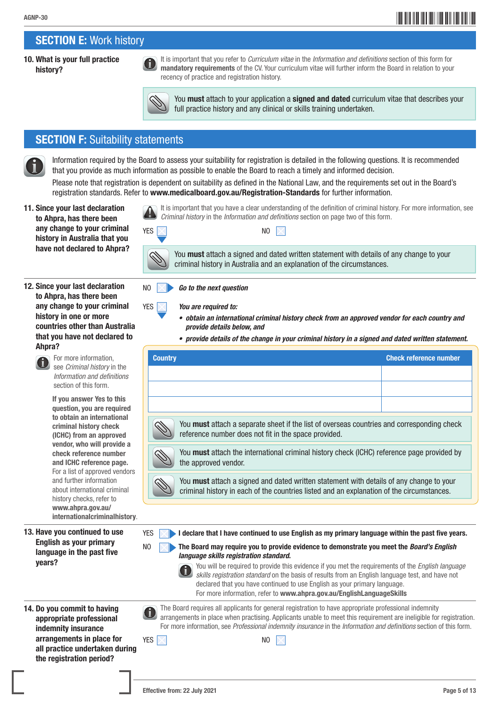# \*AGNP-305\* AGNP-30

# SECTION E: Work history

#### 10. What is your full practice history?

You must attach to your application a signed and dated curriculum vitae that describes your full practice history and any clinical or skills training undertaken.

It is important that you have a clear understanding of the definition of criminal history. For more information, see

You **must** attach a signed and dated written statement with details of any change to your

 It is important that you refer to *Curriculum vitae* in the *Information and definitions* section of this form for mandatory requirements of the CV. Your curriculum vitae will further inform the Board in relation to your

### **SECTION F: Suitability statements**

 Information required by the Board to assess your suitability for registration is detailed in the following questions. It is recommended that you provide as much information as possible to enable the Board to reach a timely and informed decision.

recency of practice and registration history.

Please note that registration is dependent on suitability as defined in the National Law, and the requirements set out in the Board's registration standards. Refer to www.medicalboard.gov.au/Registration-Standards for further information.

*Criminal history* in the *Information and definitions* section on page two of this form.

criminal history in Australia and an explanation of the circumstances.

- 11. Since your last declaration to Ahpra, has there been any change to your criminal history in Australia that you have not declared to Ahpra?
- 12. Since your last declaration to Ahpra, has there been any change to your criminal history in one or more countries other than Australia that you have not declared to Ahpra?



 For more information, see *Criminal history* in the *Information and definitions* section of this form.

If you answer Yes to this question, you are required to obtain an international criminal history check (ICHC) from an approved vendor, who will provide a check reference number and ICHC reference page. For a list of approved vendors and further information about international criminal history checks, refer to www.ahpra.gov.au/ internationalcriminalhistory.

13. Have you continued to use English as your primary language in the past five years?



NO *Go to the next question*

- YES *You are required to:*
	- *• obtain an international criminal history check from an approved vendor for each country and provide details below, and*
	- *• provide details of the change in your criminal history in a signed and dated written statement.*

| <b>Country</b>                                                                                                                                                                              | <b>Check reference number</b> |  |  |  |  |  |
|---------------------------------------------------------------------------------------------------------------------------------------------------------------------------------------------|-------------------------------|--|--|--|--|--|
|                                                                                                                                                                                             |                               |  |  |  |  |  |
|                                                                                                                                                                                             |                               |  |  |  |  |  |
|                                                                                                                                                                                             |                               |  |  |  |  |  |
| You <b>must</b> attach a separate sheet if the list of overseas countries and corresponding check<br>reference number does not fit in the space provided.                                   |                               |  |  |  |  |  |
| You <b>must</b> attach the international criminal history check (ICHC) reference page provided by<br>the approved vendor.                                                                   |                               |  |  |  |  |  |
| You <b>must</b> attach a signed and dated written statement with details of any change to your<br>criminal history in each of the countries listed and an explanation of the circumstances. |                               |  |  |  |  |  |



*language skills registration standard*. You will be required to provide this evidence if you met the requirements of the *English language skills registration standard* on the basis of results from an English language test, and have not declared that you have continued to use English as your primary language. For more information, refer to www.ahpra.gov.au/EnglishLanguageSkills

14. Do you commit to having appropriate professional indemnity insurance arrangements in place for all practice undertaken during the registration period?

 The Board requires all applicants for general registration to have appropriate professional indemnity arrangements in place when practising. Applicants unable to meet this requirement are ineligible for registration. For more information, see *Professional indemnity insurance* in the *Information and definitions* section of this form.

 $YES \times$  I declare that I have continued to use English as my primary language within the past five years.

| YES $ \times $ |  |  |  | N <sub>0</sub> |
|----------------|--|--|--|----------------|
|                |  |  |  |                |

Effective from: 22 July 2021 **Page 5 of 13**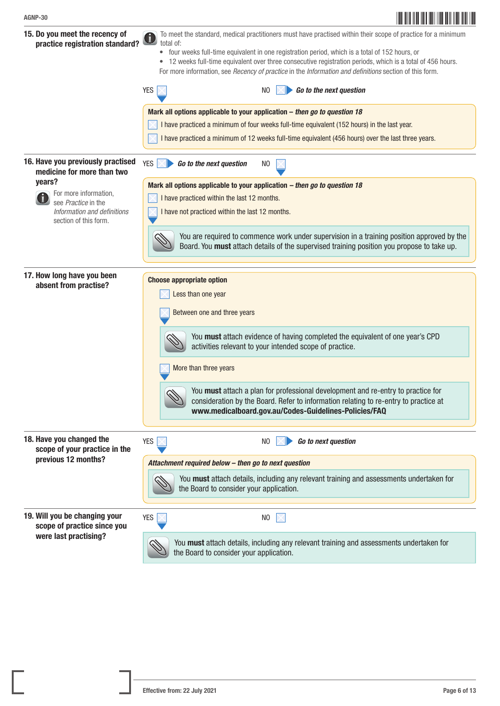| AGNP-30                                                                               |                                                                                                                                                                                                                                                                                                                                                                                                                                                                                                                                                                                              |
|---------------------------------------------------------------------------------------|----------------------------------------------------------------------------------------------------------------------------------------------------------------------------------------------------------------------------------------------------------------------------------------------------------------------------------------------------------------------------------------------------------------------------------------------------------------------------------------------------------------------------------------------------------------------------------------------|
| 15. Do you meet the recency of<br>practice registration standard?                     | To meet the standard, medical practitioners must have practised within their scope of practice for a minimum<br>total of:<br>• four weeks full-time equivalent in one registration period, which is a total of 152 hours, or<br>• 12 weeks full-time equivalent over three consecutive registration periods, which is a total of 456 hours.<br>For more information, see Recency of practice in the Information and definitions section of this form.<br>Go to the next question<br><b>YES</b><br>N <sub>0</sub><br>Mark all options applicable to your application - then go to question 18 |
|                                                                                       | I have practiced a minimum of four weeks full-time equivalent (152 hours) in the last year.<br>I have practiced a minimum of 12 weeks full-time equivalent (456 hours) over the last three years.                                                                                                                                                                                                                                                                                                                                                                                            |
| 16. Have you previously practised<br>medicine for more than two                       | <b>YES</b><br>Go to the next question<br>N <sub>0</sub>                                                                                                                                                                                                                                                                                                                                                                                                                                                                                                                                      |
| years?<br>For more information,                                                       | Mark all options applicable to your application - then go to question 18                                                                                                                                                                                                                                                                                                                                                                                                                                                                                                                     |
| see Practice in the<br>Information and definitions<br>section of this form.           | I have practiced within the last 12 months.<br>I have not practiced within the last 12 months.                                                                                                                                                                                                                                                                                                                                                                                                                                                                                               |
|                                                                                       | You are required to commence work under supervision in a training position approved by the<br>Board. You must attach details of the supervised training position you propose to take up.                                                                                                                                                                                                                                                                                                                                                                                                     |
| 17. How long have you been<br>absent from practise?                                   | <b>Choose appropriate option</b><br>Less than one year<br>Between one and three years<br>You must attach evidence of having completed the equivalent of one year's CPD<br>activities relevant to your intended scope of practice.<br>More than three years<br>You must attach a plan for professional development and re-entry to practice for<br>consideration by the Board. Refer to information relating to re-entry to practice at<br>www.medicalboard.gov.au/Codes-Guidelines-Policies/FAQ                                                                                              |
| 18. Have you changed the<br>scope of your practice in the<br>previous 12 months?      | <b>YES</b><br>Go to next question<br>NO<br>Attachment required below - then go to next question<br>You must attach details, including any relevant training and assessments undertaken for<br>the Board to consider your application.                                                                                                                                                                                                                                                                                                                                                        |
| 19. Will you be changing your<br>scope of practice since you<br>were last practising? | <b>YES</b><br>N <sub>0</sub><br>You must attach details, including any relevant training and assessments undertaken for                                                                                                                                                                                                                                                                                                                                                                                                                                                                      |
|                                                                                       | the Board to consider your application.                                                                                                                                                                                                                                                                                                                                                                                                                                                                                                                                                      |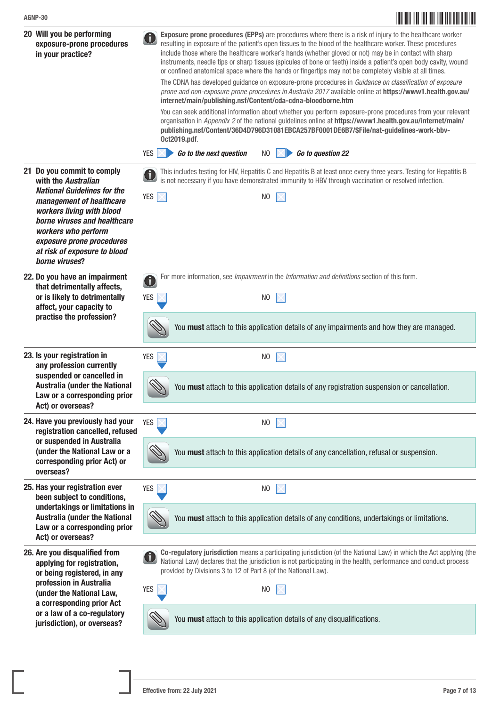

| 20 Will you be performing<br>exposure-prone procedures<br>in your practice?                                                                                                                                                       | Exposure prone procedures (EPPs) are procedures where there is a risk of injury to the healthcare worker<br>resulting in exposure of the patient's open tissues to the blood of the healthcare worker. These procedures<br>include those where the healthcare worker's hands (whether gloved or not) may be in contact with sharp<br>instruments, needle tips or sharp tissues (spicules of bone or teeth) inside a patient's open body cavity, wound<br>or confined anatomical space where the hands or fingertips may not be completely visible at all times.<br>The CDNA has developed guidance on exposure-prone procedures in Guidance on classification of exposure<br>prone and non-exposure prone procedures in Australia 2017 available online at https://www1.health.gov.au/<br>internet/main/publishing.nsf/Content/cda-cdna-bloodborne.htm<br>You can seek additional information about whether you perform exposure-prone procedures from your relevant<br>organisation in Appendix 2 of the national guidelines online at https://www1.health.gov.au/internet/main/<br>publishing.nsf/Content/36D4D796D31081EBCA257BF0001DE6B7/\$File/nat-guidelines-work-bbv-<br>Oct2019.pdf.<br>Go to question 22<br><b>YES</b><br>Go to the next question<br>N <sub>0</sub> |
|-----------------------------------------------------------------------------------------------------------------------------------------------------------------------------------------------------------------------------------|------------------------------------------------------------------------------------------------------------------------------------------------------------------------------------------------------------------------------------------------------------------------------------------------------------------------------------------------------------------------------------------------------------------------------------------------------------------------------------------------------------------------------------------------------------------------------------------------------------------------------------------------------------------------------------------------------------------------------------------------------------------------------------------------------------------------------------------------------------------------------------------------------------------------------------------------------------------------------------------------------------------------------------------------------------------------------------------------------------------------------------------------------------------------------------------------------------------------------------------------------------------------------|
| 21 Do you commit to comply                                                                                                                                                                                                        | This includes testing for HIV, Hepatitis C and Hepatitis B at least once every three years. Testing for Hepatitis B                                                                                                                                                                                                                                                                                                                                                                                                                                                                                                                                                                                                                                                                                                                                                                                                                                                                                                                                                                                                                                                                                                                                                          |
| with the Australian                                                                                                                                                                                                               | is not necessary if you have demonstrated immunity to HBV through vaccination or resolved infection.                                                                                                                                                                                                                                                                                                                                                                                                                                                                                                                                                                                                                                                                                                                                                                                                                                                                                                                                                                                                                                                                                                                                                                         |
| <b>National Guidelines for the</b><br>management of healthcare<br>workers living with blood<br>borne viruses and healthcare<br>workers who perform<br>exposure prone procedures<br>at risk of exposure to blood<br>borne viruses? | YES $\overline{\times}$<br>N <sub>0</sub>                                                                                                                                                                                                                                                                                                                                                                                                                                                                                                                                                                                                                                                                                                                                                                                                                                                                                                                                                                                                                                                                                                                                                                                                                                    |
| 22. Do you have an impairment                                                                                                                                                                                                     | For more information, see Impairment in the Information and definitions section of this form.                                                                                                                                                                                                                                                                                                                                                                                                                                                                                                                                                                                                                                                                                                                                                                                                                                                                                                                                                                                                                                                                                                                                                                                |
| that detrimentally affects,                                                                                                                                                                                                       | $\mathbf 6$                                                                                                                                                                                                                                                                                                                                                                                                                                                                                                                                                                                                                                                                                                                                                                                                                                                                                                                                                                                                                                                                                                                                                                                                                                                                  |
| or is likely to detrimentally                                                                                                                                                                                                     | <b>YES</b>                                                                                                                                                                                                                                                                                                                                                                                                                                                                                                                                                                                                                                                                                                                                                                                                                                                                                                                                                                                                                                                                                                                                                                                                                                                                   |
| affect, your capacity to                                                                                                                                                                                                          | N <sub>0</sub>                                                                                                                                                                                                                                                                                                                                                                                                                                                                                                                                                                                                                                                                                                                                                                                                                                                                                                                                                                                                                                                                                                                                                                                                                                                               |
| practise the profession?                                                                                                                                                                                                          | You must attach to this application details of any impairments and how they are managed.                                                                                                                                                                                                                                                                                                                                                                                                                                                                                                                                                                                                                                                                                                                                                                                                                                                                                                                                                                                                                                                                                                                                                                                     |
| 23. Is your registration in                                                                                                                                                                                                       | <b>YES</b>                                                                                                                                                                                                                                                                                                                                                                                                                                                                                                                                                                                                                                                                                                                                                                                                                                                                                                                                                                                                                                                                                                                                                                                                                                                                   |
| any profession currently                                                                                                                                                                                                          | N <sub>0</sub>                                                                                                                                                                                                                                                                                                                                                                                                                                                                                                                                                                                                                                                                                                                                                                                                                                                                                                                                                                                                                                                                                                                                                                                                                                                               |
| suspended or cancelled in<br><b>Australia (under the National</b><br>Law or a corresponding prior<br>Act) or overseas?                                                                                                            | You must attach to this application details of any registration suspension or cancellation.                                                                                                                                                                                                                                                                                                                                                                                                                                                                                                                                                                                                                                                                                                                                                                                                                                                                                                                                                                                                                                                                                                                                                                                  |
| 24. Have you previously had your                                                                                                                                                                                                  | <b>YES</b>                                                                                                                                                                                                                                                                                                                                                                                                                                                                                                                                                                                                                                                                                                                                                                                                                                                                                                                                                                                                                                                                                                                                                                                                                                                                   |
| registration cancelled, refused                                                                                                                                                                                                   | N <sub>0</sub>                                                                                                                                                                                                                                                                                                                                                                                                                                                                                                                                                                                                                                                                                                                                                                                                                                                                                                                                                                                                                                                                                                                                                                                                                                                               |
| or suspended in Australia<br>(under the National Law or a<br>corresponding prior Act) or<br>overseas?                                                                                                                             | You must attach to this application details of any cancellation, refusal or suspension.                                                                                                                                                                                                                                                                                                                                                                                                                                                                                                                                                                                                                                                                                                                                                                                                                                                                                                                                                                                                                                                                                                                                                                                      |
| 25. Has your registration ever                                                                                                                                                                                                    | <b>YES</b>                                                                                                                                                                                                                                                                                                                                                                                                                                                                                                                                                                                                                                                                                                                                                                                                                                                                                                                                                                                                                                                                                                                                                                                                                                                                   |
| been subject to conditions,                                                                                                                                                                                                       | N <sub>0</sub>                                                                                                                                                                                                                                                                                                                                                                                                                                                                                                                                                                                                                                                                                                                                                                                                                                                                                                                                                                                                                                                                                                                                                                                                                                                               |
| undertakings or limitations in<br><b>Australia (under the National</b><br>Law or a corresponding prior<br>Act) or overseas?                                                                                                       | You must attach to this application details of any conditions, undertakings or limitations.                                                                                                                                                                                                                                                                                                                                                                                                                                                                                                                                                                                                                                                                                                                                                                                                                                                                                                                                                                                                                                                                                                                                                                                  |
| 26. Are you disqualified from                                                                                                                                                                                                     | Co-regulatory jurisdiction means a participating jurisdiction (of the National Law) in which the Act applying (the                                                                                                                                                                                                                                                                                                                                                                                                                                                                                                                                                                                                                                                                                                                                                                                                                                                                                                                                                                                                                                                                                                                                                           |
| applying for registration,                                                                                                                                                                                                        | National Law) declares that the jurisdiction is not participating in the health, performance and conduct process                                                                                                                                                                                                                                                                                                                                                                                                                                                                                                                                                                                                                                                                                                                                                                                                                                                                                                                                                                                                                                                                                                                                                             |
| or being registered, in any                                                                                                                                                                                                       | provided by Divisions 3 to 12 of Part 8 (of the National Law).                                                                                                                                                                                                                                                                                                                                                                                                                                                                                                                                                                                                                                                                                                                                                                                                                                                                                                                                                                                                                                                                                                                                                                                                               |
| profession in Australia                                                                                                                                                                                                           | <b>YES</b>                                                                                                                                                                                                                                                                                                                                                                                                                                                                                                                                                                                                                                                                                                                                                                                                                                                                                                                                                                                                                                                                                                                                                                                                                                                                   |
| (under the National Law,                                                                                                                                                                                                          | N <sub>0</sub>                                                                                                                                                                                                                                                                                                                                                                                                                                                                                                                                                                                                                                                                                                                                                                                                                                                                                                                                                                                                                                                                                                                                                                                                                                                               |
| a corresponding prior Act<br>or a law of a co-regulatory<br>jurisdiction), or overseas?                                                                                                                                           | You must attach to this application details of any disqualifications.                                                                                                                                                                                                                                                                                                                                                                                                                                                                                                                                                                                                                                                                                                                                                                                                                                                                                                                                                                                                                                                                                                                                                                                                        |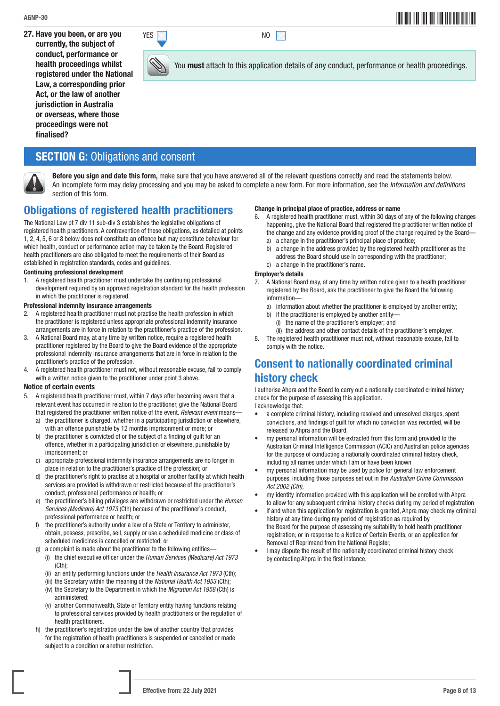27. Have you been, or are you currently, the subject of conduct, performance or health proceedings whilst registered under the National Law, a corresponding prior Act, or the law of another jurisdiction in Australia or overseas, where those proceedings were not finalised?

## **SECTION G: Obligations and consent**



Before you sign and date this form, make sure that you have answered all of the relevant questions correctly and read the statements below. An incomplete form may delay processing and you may be asked to complete a new form. For more information, see the *Information and definitions*  section of this form.

## Obligations of registered health practitioners

The National Law pt 7 div 11 sub-div 3 establishes the legislative obligations of registered health practitioners. A contravention of these obligations, as detailed at points 1, 2, 4, 5, 6 or 8 below does not constitute an offence but may constitute behaviour for which health, conduct or performance action may be taken by the Board. Registered health practitioners are also obligated to meet the requirements of their Board as established in registration standards, codes and guidelines.

#### Continuing professional development

1. A registered health practitioner must undertake the continuing professional development required by an approved registration standard for the health profession in which the practitioner is registered.

#### Professional indemnity insurance arrangements

- 2. A registered health practitioner must not practise the health profession in which the practitioner is registered unless appropriate professional indemnity insurance arrangements are in force in relation to the practitioner's practice of the profession.
- 3. A National Board may, at any time by written notice, require a registered health practitioner registered by the Board to give the Board evidence of the appropriate professional indemnity insurance arrangements that are in force in relation to the practitioner's practice of the profession.
- 4. A registered health practitioner must not, without reasonable excuse, fail to comply with a written notice given to the practitioner under point 3 above.

#### Notice of certain events

- 5. A registered health practitioner must, within 7 days after becoming aware that a relevant event has occurred in relation to the practitioner, give the National Board that registered the practitioner written notice of the event. *Relevant event* means the practitioner is charged, whether in a participating jurisdiction or elsewhere,
	- with an offence punishable by 12 months imprisonment or more; or b) the practitioner is convicted of or the subject of a finding of guilt for an offence, whether in a participating jurisdiction or elsewhere, punishable by imprisonment; or
	- c) appropriate professional indemnity insurance arrangements are no longer in place in relation to the practitioner's practice of the profession; or
	- d) the practitioner's right to practise at a hospital or another facility at which health services are provided is withdrawn or restricted because of the practitioner's conduct, professional performance or health; or
	- e) the practitioner's billing privileges are withdrawn or restricted under the *Human Services (Medicare) Act 1973* (Cth) because of the practitioner's conduct, professional performance or health; or
	- f) the practitioner's authority under a law of a State or Territory to administer, obtain, possess, prescribe, sell, supply or use a scheduled medicine or class of scheduled medicines is cancelled or restricted; or
	- a complaint is made about the practitioner to the following entities—
		- (i) the chief executive officer under the *Human Services (Medicare) Act 1973* (Cth);
		- (ii) an entity performing functions under the *Health Insurance Act 1973* (Cth);
		- (iii) the Secretary within the meaning of the *National Health Act 1953* (Cth);
		- (iv) the Secretary to the Department in which the *Migration Act 1958* (Cth) is administered;
		- (v) another Commonwealth, State or Territory entity having functions relating to professional services provided by health practitioners or the regulation of health practitioners.
	- h) the practitioner's registration under the law of another country that provides for the registration of health practitioners is suspended or cancelled or made subject to a condition or another restriction.

#### Change in principal place of practice, address or name

You **must** attach to this application details of any conduct, performance or health proceedings.

- 6. A registered health practitioner must, within 30 days of any of the following changes happening, give the National Board that registered the practitioner written notice of the change and any evidence providing proof of the change required by the Board
	- a) a change in the practitioner's principal place of practice;
	- b) a change in the address provided by the registered health practitioner as the address the Board should use in corresponding with the practitioner;
	- c) a change in the practitioner's name.

#### Employer's details

- 7. A National Board may, at any time by written notice given to a health practitioner registered by the Board, ask the practitioner to give the Board the following information
	- a) information about whether the practitioner is employed by another entity;
	- b) if the practitioner is employed by another entity-
		- (i) the name of the practitioner's employer; and
	- (ii) the address and other contact details of the practitioner's employer.
- 8. The registered health practitioner must not, without reasonable excuse, fail to comply with the notice.

# Consent to nationally coordinated criminal history check

I authorise Ahpra and the Board to carry out a nationally coordinated criminal history check for the purpose of assessing this application.

I acknowledge that:

- a complete criminal history, including resolved and unresolved charges, spent convictions, and findings of guilt for which no conviction was recorded, will be released to Ahpra and the Board,
- my personal information will be extracted from this form and provided to the Australian Criminal Intelligence Commission (ACIC) and Australian police agencies for the purpose of conducting a nationally coordinated criminal history check, including all names under which I am or have been known
- my personal information may be used by police for general law enforcement purposes, including those purposes set out in the *Australian Crime Commission Act 2002 (Cth)*,
- my identity information provided with this application will be enrolled with Ahpra to allow for any subsequent criminal history checks during my period of registration
- if and when this application for registration is granted, Ahpra may check my criminal history at any time during my period of registration as required by the Board for the purpose of assessing my suitability to hold health practitioner registration; or in response to a Notice of Certain Events; or an application for Removal of Reprimand from the National Register,
- I may dispute the result of the nationally coordinated criminal history check by contacting Ahpra in the first instance.



 $YES \times$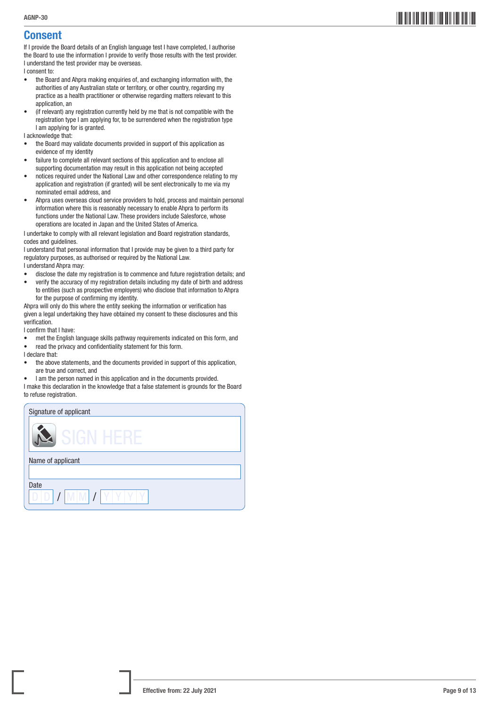# Consent

If I provide the Board details of an English language test I have completed, I authorise the Board to use the information I provide to verify those results with the test provider. I understand the test provider may be overseas.

I consent to:

- the Board and Ahpra making enquiries of, and exchanging information with, the authorities of any Australian state or territory, or other country, regarding my practice as a health practitioner or otherwise regarding matters relevant to this application, an
- (if relevant) any registration currently held by me that is not compatible with the registration type I am applying for, to be surrendered when the registration type I am applying for is granted.

I acknowledge that:

- the Board may validate documents provided in support of this application as evidence of my identity
- failure to complete all relevant sections of this application and to enclose all supporting documentation may result in this application not being accepted
- notices required under the National Law and other correspondence relating to my application and registration (if granted) will be sent electronically to me via my nominated email address, and
- Ahpra uses overseas cloud service providers to hold, process and maintain personal information where this is reasonably necessary to enable Ahpra to perform its functions under the National Law. These providers include Salesforce, whose operations are located in Japan and the United States of America.

I undertake to comply with all relevant legislation and Board registration standards, codes and guidelines.

I understand that personal information that I provide may be given to a third party for regulatory purposes, as authorised or required by the National Law.

I understand Ahpra may:

- disclose the date my registration is to commence and future registration details; and
- verify the accuracy of my registration details including my date of birth and address to entities (such as prospective employers) who disclose that information to Ahpra for the purpose of confirming my identity.

Ahpra will only do this where the entity seeking the information or verification has given a legal undertaking they have obtained my consent to these disclosures and this verification.

I confirm that I have:

- met the English language skills pathway requirements indicated on this form, and
- read the privacy and confidentiality statement for this form.

I declare that:

- the above statements, and the documents provided in support of this application, are true and correct, and
- I am the person named in this application and in the documents provided.

I make this declaration in the knowledge that a false statement is grounds for the Board to refuse registration.

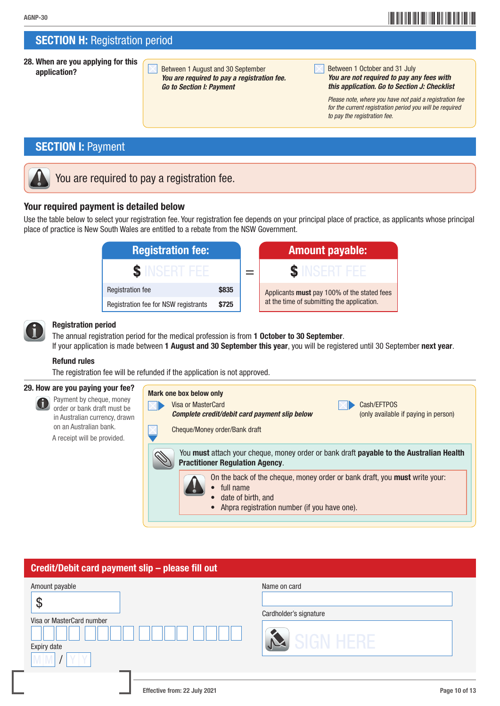# \*AGNP-3010\* AGNP-30

## **SECTION H: Registration period**

28. When are you applying for this

application? Between 1 August and 30 September *You are required to pay a registration fee. Go to Section I: Payment*

| <b>Between 1 October and 31 July</b>         |  |  |  |  |
|----------------------------------------------|--|--|--|--|
| You are not required to pay any fees with    |  |  |  |  |
| this application. Go to Section J: Checklist |  |  |  |  |

 *Please note, where you have not paid a registration fee for the current registration period you will be required to pay the registration fee.*

# **SECTION I: Payment**

# You are required to pay a registration fee.

### Your required payment is detailed below

Use the table below to select your registration fee. Your registration fee depends on your principal place of practice, as applicants whose principal place of practice is New South Wales are entitled to a rebate from the NSW Government.

| <b>Registration fee:</b>                      |  |  | <b>Amount payable:</b>                      |  |
|-----------------------------------------------|--|--|---------------------------------------------|--|
|                                               |  |  |                                             |  |
| \$835<br><b>Registration fee</b>              |  |  | Applicants must pay 100% of the stated fees |  |
| Registration fee for NSW registrants<br>\$725 |  |  | at the time of submitting the application.  |  |



#### Registration period

The annual registration period for the medical profession is from 1 October to 30 September. If your application is made between 1 August and 30 September this year, you will be registered until 30 September next year.

#### Refund rules

The registration fee will be refunded if the application is not approved.

#### 29. How are you paying your fee?

 Payment by cheque, money order or bank draft must be in Australian currency, drawn on an Australian bank. A receipt will be provided.

### Mark one box below only Visa or MasterCard Cash/EFTPOS **Complete credit/debit card payment slip below** (only available if paying in person) Cheque/Money order/Bank draft You must attach your cheque, money order or bank draft payable to the Australian Health Practitioner Regulation Agency. On the back of the cheque, money order or bank draft, you must write your: • full name date of birth, and • Ahpra registration number (if you have one).

# Credit/Debit card payment slip – please fill out

| Amount payable                 | Name on card           |
|--------------------------------|------------------------|
| ψ<br>Visa or MasterCard number | Cardholder's signature |
| Expiry date                    | SIGN HERE              |
|                                |                        |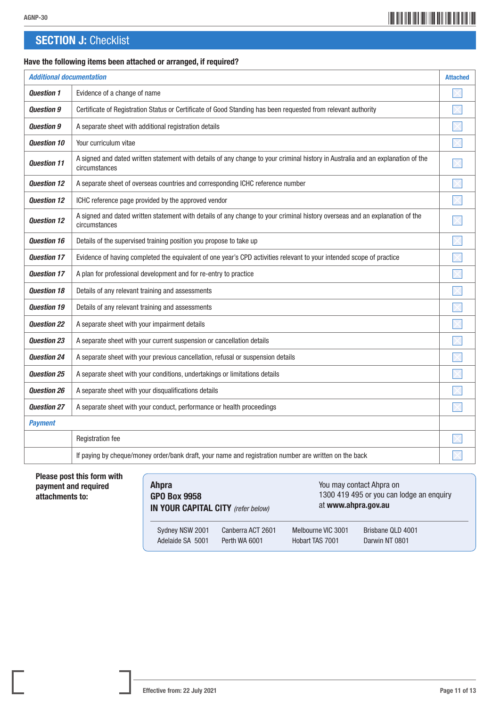# **SECTION J: Checklist**

### Have the following items been attached or arranged, if required?

| <b>Additional documentation</b> |                                                                                                                                                  |  |
|---------------------------------|--------------------------------------------------------------------------------------------------------------------------------------------------|--|
| <b>Question 1</b>               | Evidence of a change of name                                                                                                                     |  |
| <b>Ouestion 9</b>               | Certificate of Registration Status or Certificate of Good Standing has been requested from relevant authority                                    |  |
| <b>Question 9</b>               | A separate sheet with additional registration details                                                                                            |  |
| <b>Ouestion 10</b>              | Your curriculum vitae                                                                                                                            |  |
| <b>Question 11</b>              | A signed and dated written statement with details of any change to your criminal history in Australia and an explanation of the<br>circumstances |  |
| <b>Question 12</b>              | A separate sheet of overseas countries and corresponding ICHC reference number                                                                   |  |
| <b>Ouestion 12</b>              | ICHC reference page provided by the approved vendor                                                                                              |  |
| <b>Question 12</b>              | A signed and dated written statement with details of any change to your criminal history overseas and an explanation of the<br>circumstances     |  |
| <b>Question 16</b>              | Details of the supervised training position you propose to take up                                                                               |  |
| <b>Ouestion 17</b>              | Evidence of having completed the equivalent of one year's CPD activities relevant to your intended scope of practice                             |  |
| <b>Question 17</b>              | A plan for professional development and for re-entry to practice                                                                                 |  |
| <b>Question 18</b>              | Details of any relevant training and assessments                                                                                                 |  |
| <b>Question 19</b>              | Details of any relevant training and assessments                                                                                                 |  |
| <b>Question 22</b>              | A separate sheet with your impairment details                                                                                                    |  |
| <b>Ouestion 23</b>              | A separate sheet with your current suspension or cancellation details                                                                            |  |
| <b>Question 24</b>              | A separate sheet with your previous cancellation, refusal or suspension details                                                                  |  |
| <b>Question 25</b>              | A separate sheet with your conditions, undertakings or limitations details                                                                       |  |
| <b>Question 26</b>              | A separate sheet with your disqualifications details                                                                                             |  |
| <b>Question 27</b>              | A separate sheet with your conduct, performance or health proceedings                                                                            |  |
| <b>Payment</b>                  |                                                                                                                                                  |  |
|                                 | Registration fee                                                                                                                                 |  |
|                                 | If paying by cheque/money order/bank draft, your name and registration number are written on the back                                            |  |

Please post this form with payment and required attachments to:

| <b>Ahpra</b><br><b>GPO Box 9958</b><br><b>IN YOUR CAPITAL CITY</b> (refer below) |                   | You may contact Ahpra on<br>1300 419 495 or you can lodge an enquiry<br>at www.ahpra.gov.au |                   |  |
|----------------------------------------------------------------------------------|-------------------|---------------------------------------------------------------------------------------------|-------------------|--|
| Sydney NSW 2001                                                                  | Canberra ACT 2601 | Melbourne VIC 3001                                                                          | Brisbane QLD 4001 |  |
| Adelaide SA 5001                                                                 | Perth WA 6001     | Hobart TAS 7001                                                                             | Darwin NT 0801    |  |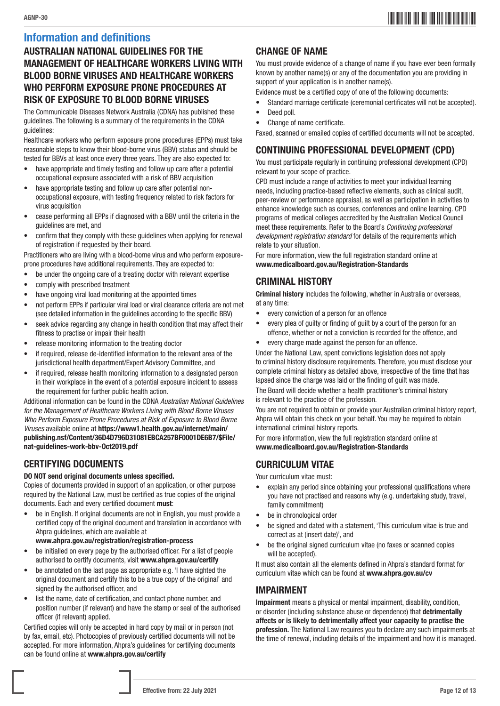## Information and definitions

### AUSTRALIAN NATIONAL GUIDELINES FOR THE MANAGEMENT OF HEALTHCARE WORKERS LIVING WITH BLOOD BORNE VIRUSES AND HEALTHCARE WORKERS WHO PERFORM EXPOSURE PRONE PROCEDURES AT RISK OF EXPOSURE TO BLOOD BORNE VIRUSES

The Communicable Diseases Network Australia (CDNA) has published these guidelines. The following is a summary of the requirements in the CDNA guidelines:

Healthcare workers who perform exposure prone procedures (EPPs) must take reasonable steps to know their blood-borne virus (BBV) status and should be tested for BBVs at least once every three years. They are also expected to:

- have appropriate and timely testing and follow up care after a potential occupational exposure associated with a risk of BBV acquisition
- have appropriate testing and follow up care after potential nonoccupational exposure, with testing frequency related to risk factors for virus acquisition
- cease performing all EPPs if diagnosed with a BBV until the criteria in the guidelines are met, and
- confirm that they comply with these guidelines when applying for renewal of registration if requested by their board.

Practitioners who are living with a blood-borne virus and who perform exposureprone procedures have additional requirements. They are expected to:

- be under the ongoing care of a treating doctor with relevant expertise
- comply with prescribed treatment
- have ongoing viral load monitoring at the appointed times
- not perform EPPs if particular viral load or viral clearance criteria are not met (see detailed information in the guidelines according to the specific BBV)
- seek advice regarding any change in health condition that may affect their fitness to practise or impair their health
- release monitoring information to the treating doctor
- if required, release de-identified information to the relevant area of the jurisdictional health department/Expert Advisory Committee, and
- if required, release health monitoring information to a designated person in their workplace in the event of a potential exposure incident to assess the requirement for further public health action.

Additional information can be found in the CDNA *Australian National Guidelines for the Management of Healthcare Workers Living with Blood Borne Viruses Who Perform Exposure Prone Procedures at Risk of Exposure to Blood Borne Viruses* available online at https://www1.health.gov.au/internet/main/ publishing.nsf/Content/36D4D796D31081EBCA257BF0001DE6B7/\$File/ nat-guidelines-work-bbv-Oct2019.pdf

### CERTIFYING DOCUMENTS

#### DO NOT send original documents unless specified.

Copies of documents provided in support of an application, or other purpose required by the National Law, must be certified as true copies of the original documents. Each and every certified document must:

- be in English. If original documents are not in English, you must provide a certified copy of the original document and translation in accordance with Ahpra guidelines, which are available at
	- www.ahpra.gov.au/registration/registration-process
- be initialled on every page by the authorised officer. For a list of people authorised to certify documents, visit www.ahpra.gov.au/certify
- be annotated on the last page as appropriate e.g. 'I have sighted the original document and certify this to be a true copy of the original' and signed by the authorised officer, and
- list the name, date of certification, and contact phone number, and position number (if relevant) and have the stamp or seal of the authorised officer (if relevant) applied.

Certified copies will only be accepted in hard copy by mail or in person (not by fax, email, etc). Photocopies of previously certified documents will not be accepted. For more information, Ahpra's guidelines for certifying documents can be found online at www.ahpra.gov.au/certify

### CHANGE OF NAME

You must provide evidence of a change of name if you have ever been formally known by another name(s) or any of the documentation you are providing in support of your application is in another name(s).

Evidence must be a certified copy of one of the following documents:

- Standard marriage certificate (ceremonial certificates will not be accepted).
- Deed poll.
- Change of name certificate.

Faxed, scanned or emailed copies of certified documents will not be accepted.

### CONTINUING PROFESSIONAL DEVELOPMENT (CPD)

You must participate regularly in continuing professional development (CPD) relevant to your scope of practice.

CPD must include a range of activities to meet your individual learning needs, including practice-based reflective elements, such as clinical audit, peer-review or performance appraisal, as well as participation in activities to enhance knowledge such as courses, conferences and online learning. CPD programs of medical colleges accredited by the Australian Medical Council meet these requirements. Refer to the Board's *Continuing professional development registration standard* for details of the requirements which relate to your situation.

For more information, view the full registration standard online at www.medicalboard.gov.au/Registration-Standards

### CRIMINAL HISTORY

Criminal history includes the following, whether in Australia or overseas, at any time:

- every conviction of a person for an offence
- every plea of guilty or finding of guilt by a court of the person for an offence, whether or not a conviction is recorded for the offence, and
- every charge made against the person for an offence.

Under the National Law, spent convictions legislation does not apply to criminal history disclosure requirements. Therefore, you must disclose your complete criminal history as detailed above, irrespective of the time that has lapsed since the charge was laid or the finding of guilt was made.

The Board will decide whether a health practitioner's criminal history is relevant to the practice of the profession.

You are not required to obtain or provide your Australian criminal history report, Ahpra will obtain this check on your behalf. You may be required to obtain international criminal history reports.

For more information, view the full registration standard online at www.medicalboard.gov.au/Registration-Standards

### CURRICULUM VITAE

Your curriculum vitae must:

- explain any period since obtaining your professional qualifications where you have not practised and reasons why (e.g. undertaking study, travel, family commitment)
- be in chronological order
- be signed and dated with a statement, 'This curriculum vitae is true and correct as at (insert date)', and
- be the original signed curriculum vitae (no faxes or scanned copies will be accepted).

It must also contain all the elements defined in Ahpra's standard format for curriculum vitae which can be found at www.ahpra.gov.au/cv

### IMPAIRMENT

Impairment means a physical or mental impairment, disability, condition, or disorder (including substance abuse or dependence) that detrimentally affects or is likely to detrimentally affect your capacity to practise the profession. The National Law requires you to declare any such impairments at the time of renewal, including details of the impairment and how it is managed.